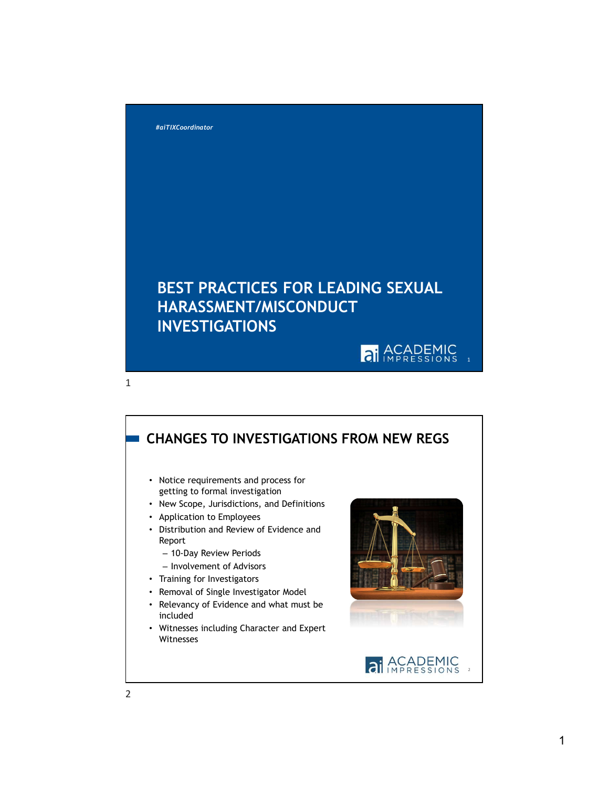

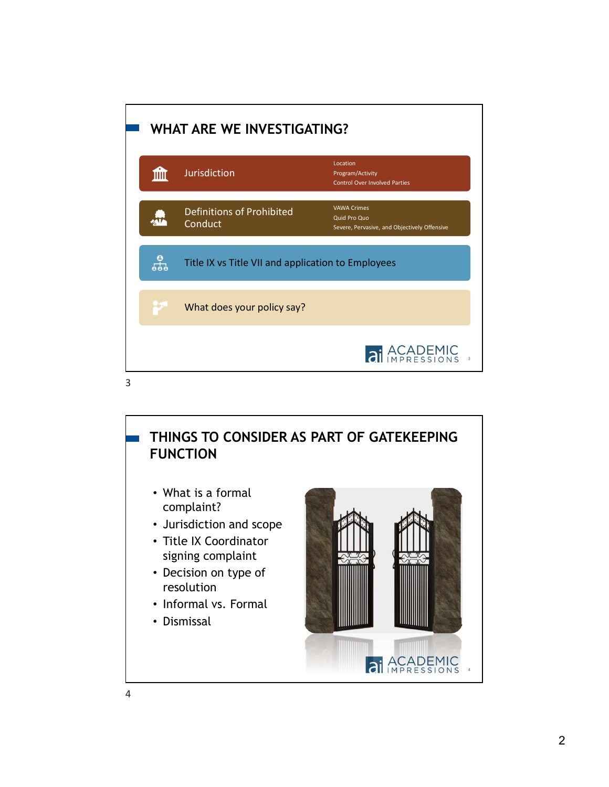

## THINGS TO CONSIDER AS PART OF GATEKEEPING FUNCTION

- What is a formal complaint?
- Jurisdiction and scope
- Title IX Coordinator signing complaint
- Decision on type of resolution
- Informal vs. Formal
- Dismissal

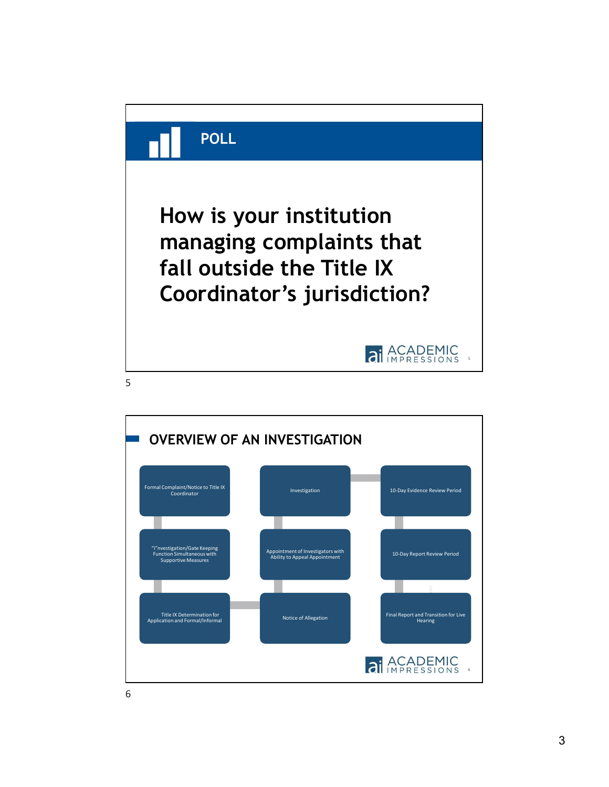

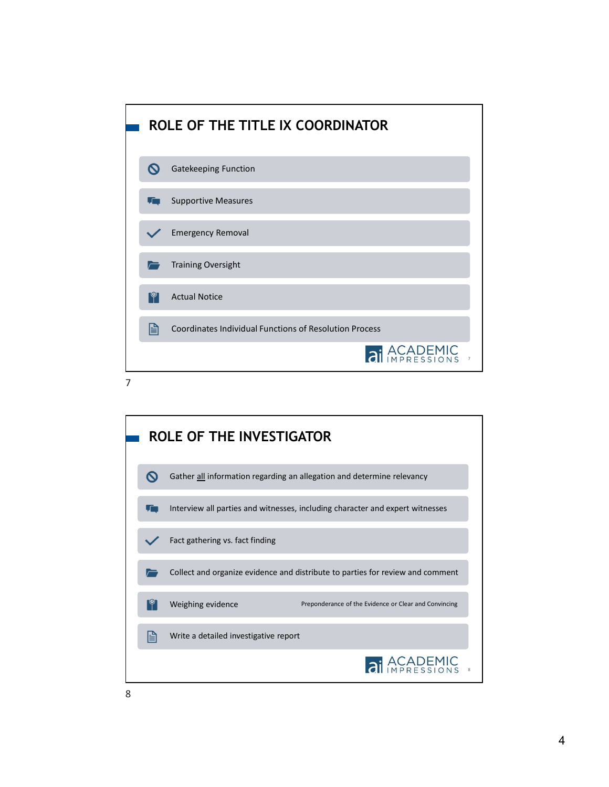



8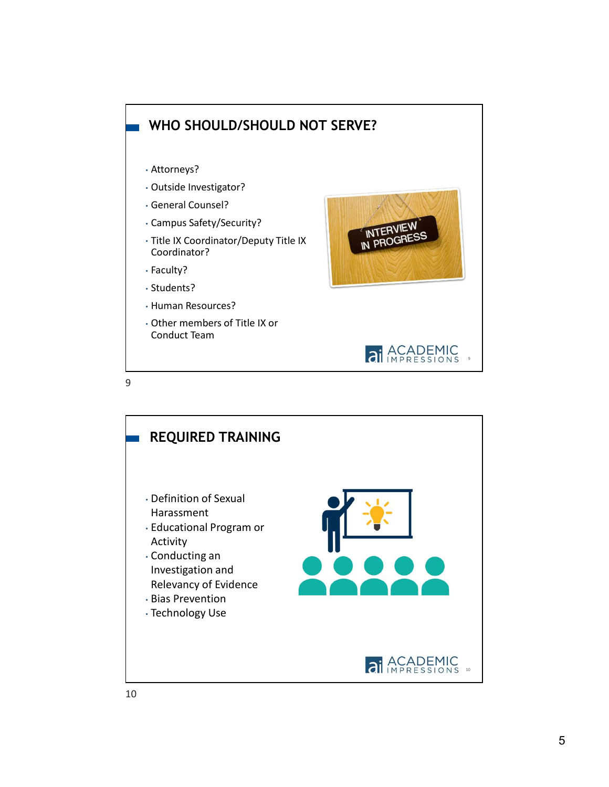

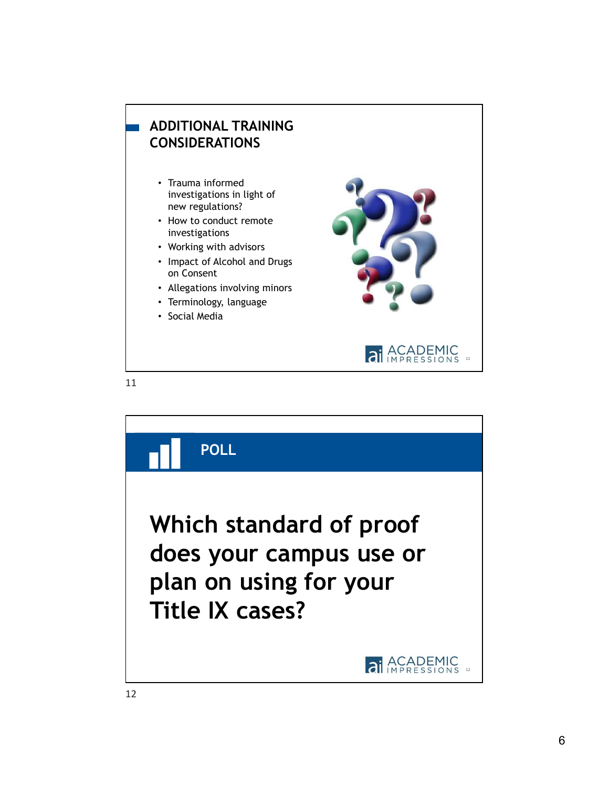

11

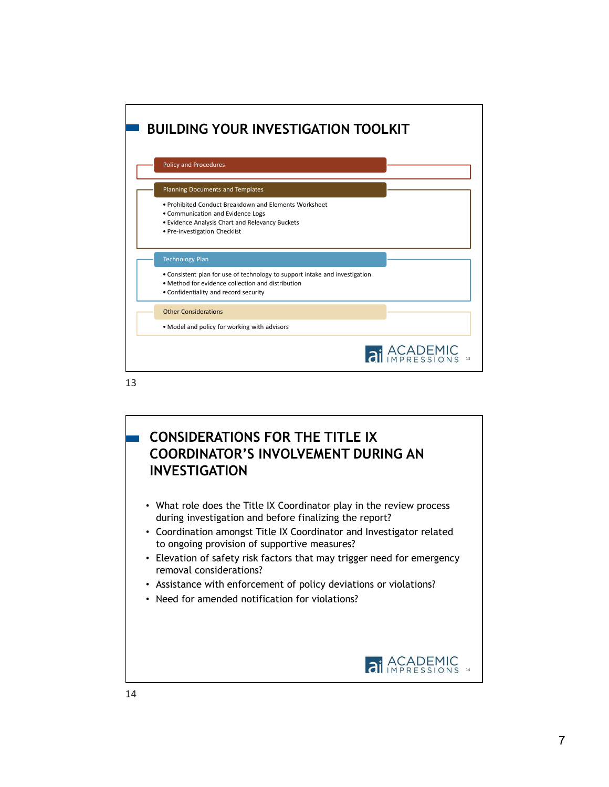



- Coordination amongst Title IX Coordinator and Investigator related to ongoing provision of supportive measures?
- Elevation of safety risk factors that may trigger need for emergency removal considerations?
- Assistance with enforcement of policy deviations or violations?
- Need for amended notification for violations?

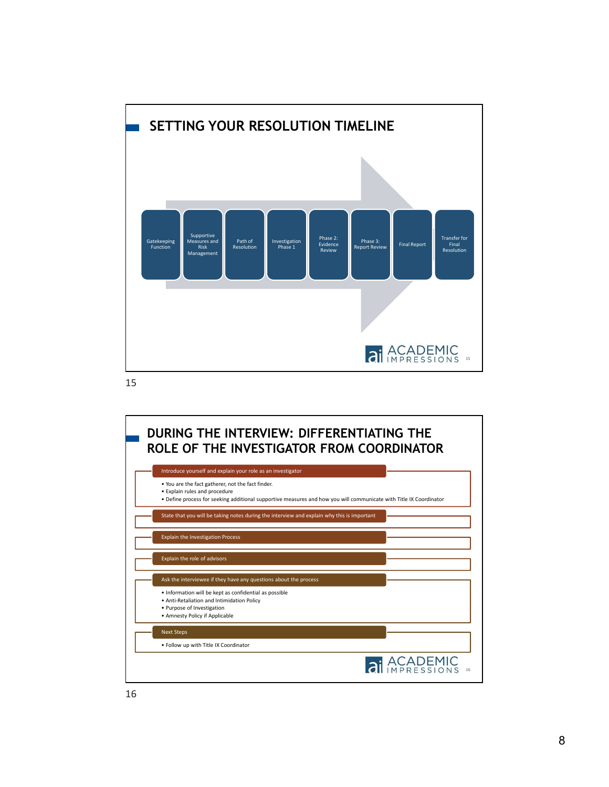

15

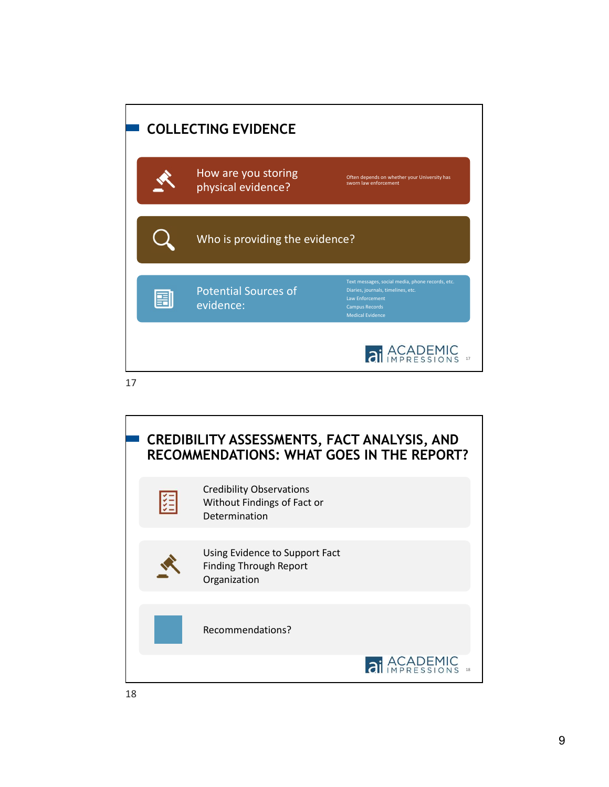

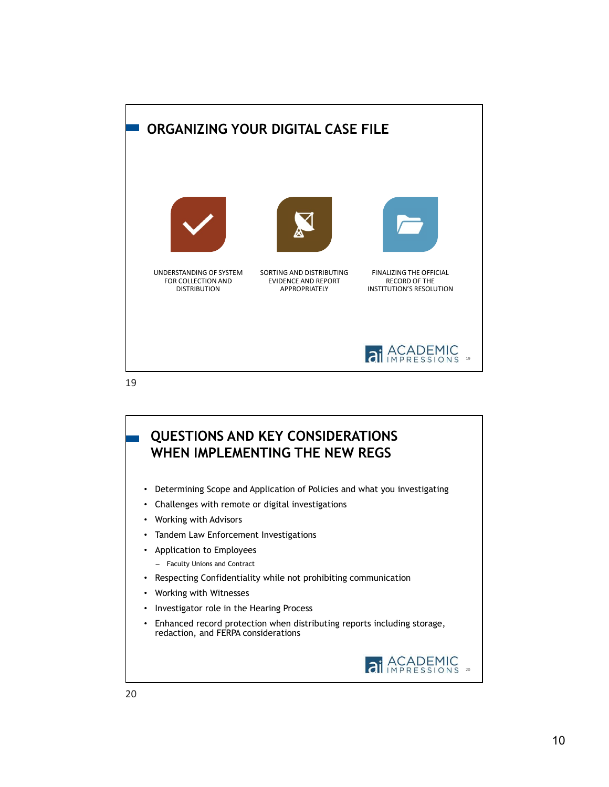